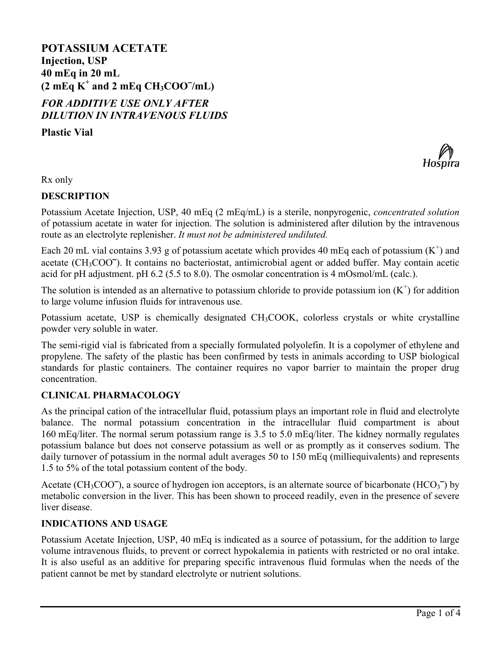# **POTASSIUM ACETATE Injection, USP 40 mEq in 20 mL (2 mEq K<sup>+</sup> and 2 mEq CH3COO /mL)** *FOR ADDITIVE USE ONLY AFTER*

*DILUTION IN INTRAVENOUS FLUIDS*

**Plastic Vial**



Rx only

# **DESCRIPTION**

Potassium Acetate Injection, USP, 40 mEq (2 mEq/mL) is a sterile, nonpyrogenic, *concentrated solution* of potassium acetate in water for injection. The solution is administered after dilution by the intravenous route as an electrolyte replenisher. *It must not be administered undiluted.*

Each 20 mL vial contains 3.93 g of potassium acetate which provides 40 mEq each of potassium  $(K^+)$  and acetate (CH<sub>3</sub>COO<sup>-</sup>). It contains no bacteriostat, antimicrobial agent or added buffer. May contain acetic acid for pH adjustment. pH 6.2 (5.5 to 8.0). The osmolar concentration is 4 mOsmol/mL (calc.).

The solution is intended as an alternative to potassium chloride to provide potassium ion  $(K^+)$  for addition to large volume infusion fluids for intravenous use.

Potassium acetate, USP is chemically designated CH<sub>3</sub>COOK, colorless crystals or white crystalline powder very soluble in water.

The semi-rigid vial is fabricated from a specially formulated polyolefin. It is a copolymer of ethylene and propylene. The safety of the plastic has been confirmed by tests in animals according to USP biological standards for plastic containers. The container requires no vapor barrier to maintain the proper drug concentration.

# **CLINICAL PHARMACOLOGY**

As the principal cation of the intracellular fluid, potassium plays an important role in fluid and electrolyte balance. The normal potassium concentration in the intracellular fluid compartment is about 160 mEq/liter. The normal serum potassium range is 3.5 to 5.0 mEq/liter. The kidney normally regulates potassium balance but does not conserve potassium as well or as promptly as it conserves sodium. The daily turnover of potassium in the normal adult averages 50 to 150 mEq (milliequivalents) and represents 1.5 to 5% of the total potassium content of the body.

Acetate (CH<sub>3</sub>COO<sup>-</sup>), a source of hydrogen ion acceptors, is an alternate source of bicarbonate (HCO<sub>3</sub><sup>-</sup>) by metabolic conversion in the liver. This has been shown to proceed readily, even in the presence of severe liver disease.

# **INDICATIONS AND USAGE**

Potassium Acetate Injection, USP, 40 mEq is indicated as a source of potassium, for the addition to large volume intravenous fluids, to prevent or correct hypokalemia in patients with restricted or no oral intake. It is also useful as an additive for preparing specific intravenous fluid formulas when the needs of the patient cannot be met by standard electrolyte or nutrient solutions.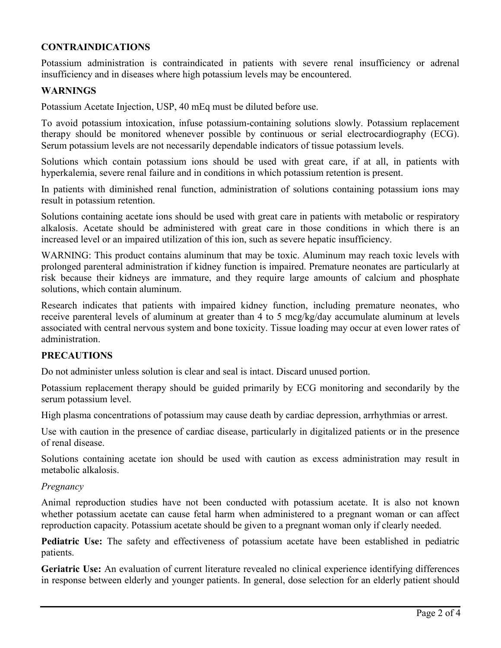# **CONTRAINDICATIONS**

Potassium administration is contraindicated in patients with severe renal insufficiency or adrenal insufficiency and in diseases where high potassium levels may be encountered.

### **WARNINGS**

Potassium Acetate Injection, USP, 40 mEq must be diluted before use.

To avoid potassium intoxication, infuse potassium-containing solutions slowly. Potassium replacement therapy should be monitored whenever possible by continuous or serial electrocardiography (ECG). Serum potassium levels are not necessarily dependable indicators of tissue potassium levels.

Solutions which contain potassium ions should be used with great care, if at all, in patients with hyperkalemia, severe renal failure and in conditions in which potassium retention is present.

In patients with diminished renal function, administration of solutions containing potassium ions may result in potassium retention.

Solutions containing acetate ions should be used with great care in patients with metabolic or respiratory alkalosis. Acetate should be administered with great care in those conditions in which there is an increased level or an impaired utilization of this ion, such as severe hepatic insufficiency.

WARNING: This product contains aluminum that may be toxic. Aluminum may reach toxic levels with prolonged parenteral administration if kidney function is impaired. Premature neonates are particularly at risk because their kidneys are immature, and they require large amounts of calcium and phosphate solutions, which contain aluminum.

Research indicates that patients with impaired kidney function, including premature neonates, who receive parenteral levels of aluminum at greater than 4 to 5 mcg/kg/day accumulate aluminum at levels associated with central nervous system and bone toxicity. Tissue loading may occur at even lower rates of administration.

#### **PRECAUTIONS**

Do not administer unless solution is clear and seal is intact. Discard unused portion.

Potassium replacement therapy should be guided primarily by ECG monitoring and secondarily by the serum potassium level.

High plasma concentrations of potassium may cause death by cardiac depression, arrhythmias or arrest.

Use with caution in the presence of cardiac disease, particularly in digitalized patients or in the presence of renal disease.

Solutions containing acetate ion should be used with caution as excess administration may result in metabolic alkalosis.

#### *Pregnancy*

Animal reproduction studies have not been conducted with potassium acetate. It is also not known whether potassium acetate can cause fetal harm when administered to a pregnant woman or can affect reproduction capacity. Potassium acetate should be given to a pregnant woman only if clearly needed.

**Pediatric Use:** The safety and effectiveness of potassium acetate have been established in pediatric patients.

**Geriatric Use:** An evaluation of current literature revealed no clinical experience identifying differences in response between elderly and younger patients. In general, dose selection for an elderly patient should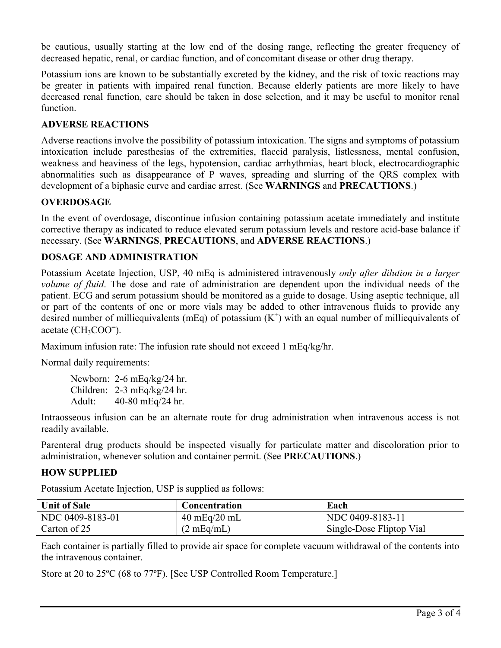be cautious, usually starting at the low end of the dosing range, reflecting the greater frequency of decreased hepatic, renal, or cardiac function, and of concomitant disease or other drug therapy.

Potassium ions are known to be substantially excreted by the kidney, and the risk of toxic reactions may be greater in patients with impaired renal function. Because elderly patients are more likely to have decreased renal function, care should be taken in dose selection, and it may be useful to monitor renal function.

# **ADVERSE REACTIONS**

Adverse reactions involve the possibility of potassium intoxication. The signs and symptoms of potassium intoxication include paresthesias of the extremities, flaccid paralysis, listlessness, mental confusion, weakness and heaviness of the legs, hypotension, cardiac arrhythmias, heart block, electrocardiographic abnormalities such as disappearance of P waves, spreading and slurring of the QRS complex with development of a biphasic curve and cardiac arrest. (See **WARNINGS** and **PRECAUTIONS**.)

# **OVERDOSAGE**

In the event of overdosage, discontinue infusion containing potassium acetate immediately and institute corrective therapy as indicated to reduce elevated serum potassium levels and restore acid-base balance if necessary. (See **WARNINGS**, **PRECAUTIONS**, and **ADVERSE REACTIONS**.)

# **DOSAGE AND ADMINISTRATION**

Potassium Acetate Injection, USP, 40 mEq is administered intravenously *only after dilution in a larger volume of fluid*. The dose and rate of administration are dependent upon the individual needs of the patient. ECG and serum potassium should be monitored as a guide to dosage. Using aseptic technique, all or part of the contents of one or more vials may be added to other intravenous fluids to provide any desired number of milliequivalents (mEq) of potassium  $(K^+)$  with an equal number of milliequivalents of acetate (CH<sub>3</sub>COO<sup>-</sup>).

Maximum infusion rate: The infusion rate should not exceed 1 mEq/kg/hr.

Normal daily requirements:

Newborn: 2-6 mEq/kg/24 hr. Children: 2-3 mEq/kg/24 hr. Adult: 40-80 mEq/24 hr.

Intraosseous infusion can be an alternate route for drug administration when intravenous access is not readily available.

Parenteral drug products should be inspected visually for particulate matter and discoloration prior to administration, whenever solution and container permit. (See **PRECAUTIONS**.)

# **HOW SUPPLIED**

Potassium Acetate Injection, USP is supplied as follows:

| <b>Unit of Sale</b> | <b>Concentration</b>           | Each                     |
|---------------------|--------------------------------|--------------------------|
| NDC 0409-8183-01    | $40 \text{ mEq}/20 \text{ mL}$ | NDC 0409-8183-11         |
| Carton of 25        | $(2 \text{ mEq/mL})$           | Single-Dose Fliptop Vial |

Each container is partially filled to provide air space for complete vacuum withdrawal of the contents into the intravenous container.

Store at 20 to 25ºC (68 to 77ºF). [See USP Controlled Room Temperature.]